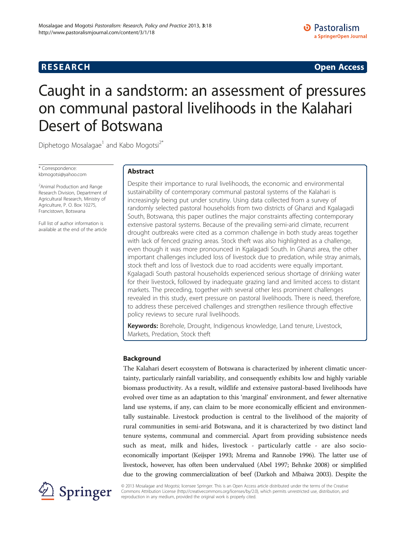# **RESEARCH CHINESE ARCH CHINESE ARCH CHINESE ARCH**

# Caught in a sandstorm: an assessment of pressures on communal pastoral livelihoods in the Kalahari Desert of Botswana

Diphetogo Mosalagae<sup>1</sup> and Kabo Mogotsi<sup>2\*</sup>

\* Correspondence: kbmogotsi@yahoo.com

<sup>2</sup> Animal Production and Range Research Division, Department of Agricultural Research, Ministry of Agriculture, P. O. Box 10275, Francistown, Botswana

Full list of author information is available at the end of the article

# Abstract

Despite their importance to rural livelihoods, the economic and environmental sustainability of contemporary communal pastoral systems of the Kalahari is increasingly being put under scrutiny. Using data collected from a survey of randomly selected pastoral households from two districts of Ghanzi and Kgalagadi South, Botswana, this paper outlines the major constraints affecting contemporary extensive pastoral systems. Because of the prevailing semi-arid climate, recurrent drought outbreaks were cited as a common challenge in both study areas together with lack of fenced grazing areas. Stock theft was also highlighted as a challenge, even though it was more pronounced in Kgalagadi South. In Ghanzi area, the other important challenges included loss of livestock due to predation, while stray animals, stock theft and loss of livestock due to road accidents were equally important. Kgalagadi South pastoral households experienced serious shortage of drinking water for their livestock, followed by inadequate grazing land and limited access to distant markets. The preceding, together with several other less prominent challenges revealed in this study, exert pressure on pastoral livelihoods. There is need, therefore, to address these perceived challenges and strengthen resilience through effective policy reviews to secure rural livelihoods.

Keywords: Borehole, Drought, Indigenous knowledge, Land tenure, Livestock, Markets, Predation, Stock theft

# Background

The Kalahari desert ecosystem of Botswana is characterized by inherent climatic uncertainty, particularly rainfall variability, and consequently exhibits low and highly variable biomass productivity. As a result, wildlife and extensive pastoral-based livelihoods have evolved over time as an adaptation to this 'marginal' environment, and fewer alternative land use systems, if any, can claim to be more economically efficient and environmentally sustainable. Livestock production is central to the livelihood of the majority of rural communities in semi-arid Botswana, and it is characterized by two distinct land tenure systems, communal and commercial. Apart from providing subsistence needs such as meat, milk and hides, livestock - particularly cattle - are also socioeconomically important (Keijsper [1993;](#page-18-0) Mrema and Rannobe [1996\)](#page-19-0). The latter use of livestock, however, has often been undervalued (Abel [1997;](#page-17-0) Behnke [2008](#page-17-0)) or simplified due to the growing commercialization of beef (Darkoh and Mbaiwa [2003](#page-17-0)). Despite the



© 2013 Mosalagae and Mogotsi; licensee Springer. This is an Open Access article distributed under the terms of the Creative Commons Attribution License (<http://creativecommons.org/licenses/by/2.0>), which permits unrestricted use, distribution, and reproduction in any medium, provided the original work is properly cited.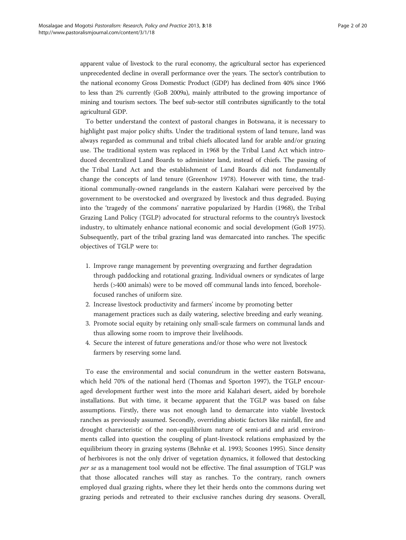apparent value of livestock to the rural economy, the agricultural sector has experienced unprecedented decline in overall performance over the years. The sector's contribution to the national economy Gross Domestic Product (GDP) has declined from 40% since 1966 to less than 2% currently (GoB [2009a](#page-18-0)), mainly attributed to the growing importance of mining and tourism sectors. The beef sub-sector still contributes significantly to the total agricultural GDP.

To better understand the context of pastoral changes in Botswana, it is necessary to highlight past major policy shifts. Under the traditional system of land tenure, land was always regarded as communal and tribal chiefs allocated land for arable and/or grazing use. The traditional system was replaced in 1968 by the Tribal Land Act which introduced decentralized Land Boards to administer land, instead of chiefs. The passing of the Tribal Land Act and the establishment of Land Boards did not fundamentally change the concepts of land tenure (Greenhow [1978\)](#page-18-0). However with time, the traditional communally-owned rangelands in the eastern Kalahari were perceived by the government to be overstocked and overgrazed by livestock and thus degraded. Buying into the 'tragedy of the commons' narrative popularized by Hardin [\(1968](#page-18-0)), the Tribal Grazing Land Policy (TGLP) advocated for structural reforms to the country's livestock industry, to ultimately enhance national economic and social development (GoB [1975](#page-18-0)). Subsequently, part of the tribal grazing land was demarcated into ranches. The specific objectives of TGLP were to:

- 1. Improve range management by preventing overgrazing and further degradation through paddocking and rotational grazing. Individual owners or syndicates of large herds (>400 animals) were to be moved off communal lands into fenced, boreholefocused ranches of uniform size.
- 2. Increase livestock productivity and farmers' income by promoting better management practices such as daily watering, selective breeding and early weaning.
- 3. Promote social equity by retaining only small-scale farmers on communal lands and thus allowing some room to improve their livelihoods.
- 4. Secure the interest of future generations and/or those who were not livestock farmers by reserving some land.

To ease the environmental and social conundrum in the wetter eastern Botswana, which held 70% of the national herd (Thomas and Sporton [1997\)](#page-19-0), the TGLP encouraged development further west into the more arid Kalahari desert, aided by borehole installations. But with time, it became apparent that the TGLP was based on false assumptions. Firstly, there was not enough land to demarcate into viable livestock ranches as previously assumed. Secondly, overriding abiotic factors like rainfall, fire and drought characteristic of the non-equilibrium nature of semi-arid and arid environments called into question the coupling of plant-livestock relations emphasized by the equilibrium theory in grazing systems (Behnke et al. [1993](#page-17-0); Scoones [1995\)](#page-19-0). Since density of herbivores is not the only driver of vegetation dynamics, it followed that destocking per se as a management tool would not be effective. The final assumption of TGLP was that those allocated ranches will stay as ranches. To the contrary, ranch owners employed dual grazing rights, where they let their herds onto the commons during wet grazing periods and retreated to their exclusive ranches during dry seasons. Overall,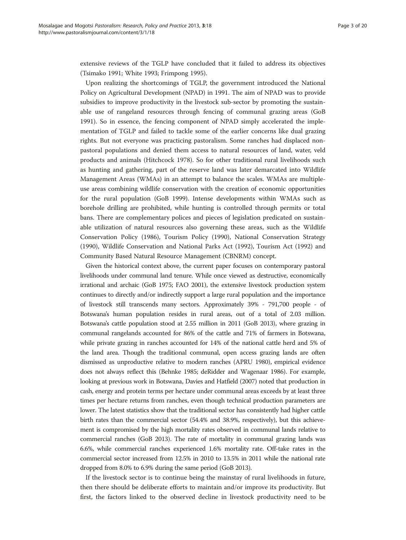extensive reviews of the TGLP have concluded that it failed to address its objectives (Tsimako [1991](#page-19-0); White [1993](#page-19-0); Frimpong [1995\)](#page-18-0).

Upon realizing the shortcomings of TGLP, the government introduced the National Policy on Agricultural Development (NPAD) in 1991. The aim of NPAD was to provide subsidies to improve productivity in the livestock sub-sector by promoting the sustainable use of rangeland resources through fencing of communal grazing areas (GoB [1991](#page-18-0)). So in essence, the fencing component of NPAD simply accelerated the implementation of TGLP and failed to tackle some of the earlier concerns like dual grazing rights. But not everyone was practicing pastoralism. Some ranches had displaced nonpastoral populations and denied them access to natural resources of land, water, veld products and animals (Hitchcock [1978](#page-18-0)). So for other traditional rural livelihoods such as hunting and gathering, part of the reserve land was later demarcated into Wildlife Management Areas (WMAs) in an attempt to balance the scales. WMAs are multipleuse areas combining wildlife conservation with the creation of economic opportunities for the rural population (GoB [1999](#page-18-0)). Intense developments within WMAs such as borehole drilling are prohibited, while hunting is controlled through permits or total bans. There are complementary polices and pieces of legislation predicated on sustainable utilization of natural resources also governing these areas, such as the Wildlife Conservation Policy (1986), Tourism Policy (1990), National Conservation Strategy (1990), Wildlife Conservation and National Parks Act (1992), Tourism Act (1992) and Community Based Natural Resource Management (CBNRM) concept.

Given the historical context above, the current paper focuses on contemporary pastoral livelihoods under communal land tenure. While once viewed as destructive, economically irrational and archaic (GoB [1975;](#page-18-0) FAO [2001\)](#page-18-0), the extensive livestock production system continues to directly and/or indirectly support a large rural population and the importance of livestock still transcends many sectors. Approximately 39% - 791,700 people - of Botswana's human population resides in rural areas, out of a total of 2.03 million. Botswana's cattle population stood at 2.55 million in 2011 (GoB [2013\)](#page-18-0), where grazing in communal rangelands accounted for 86% of the cattle and 71% of farmers in Botswana, while private grazing in ranches accounted for 14% of the national cattle herd and 5% of the land area. Though the traditional communal, open access grazing lands are often dismissed as unproductive relative to modern ranches (APRU [1980\)](#page-17-0), empirical evidence does not always reflect this (Behnke [1985;](#page-17-0) deRidder and Wagenaar [1986](#page-17-0)). For example, looking at previous work in Botswana, Davies and Hatfield [\(2007](#page-17-0)) noted that production in cash, energy and protein terms per hectare under communal areas exceeds by at least three times per hectare returns from ranches, even though technical production parameters are lower. The latest statistics show that the traditional sector has consistently had higher cattle birth rates than the commercial sector (54.4% and 38.9%, respectively), but this achievement is compromised by the high mortality rates observed in communal lands relative to commercial ranches (GoB [2013\)](#page-18-0). The rate of mortality in communal grazing lands was 6.6%, while commercial ranches experienced 1.6% mortality rate. Off-take rates in the commercial sector increased from 12.5% in 2010 to 13.5% in 2011 while the national rate dropped from 8.0% to 6.9% during the same period (GoB [2013](#page-18-0)).

If the livestock sector is to continue being the mainstay of rural livelihoods in future, then there should be deliberate efforts to maintain and/or improve its productivity. But first, the factors linked to the observed decline in livestock productivity need to be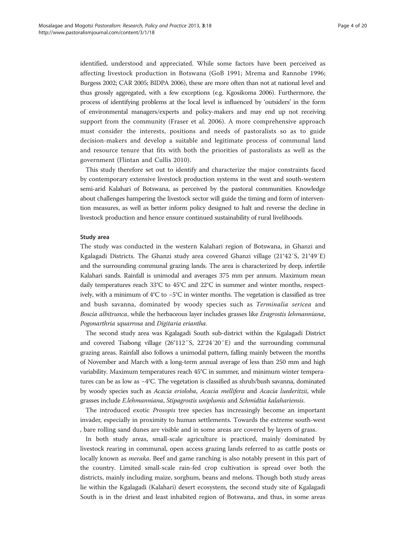identified, understood and appreciated. While some factors have been perceived as affecting livestock production in Botswana (GoB [1991](#page-18-0); Mrema and Rannobe [1996](#page-19-0); Burgess [2002;](#page-17-0) CAR [2005;](#page-17-0) BIDPA [2006\)](#page-17-0), these are more often than not at national level and thus grossly aggregated, with a few exceptions (e.g. Kgosikoma [2006](#page-18-0)). Furthermore, the process of identifying problems at the local level is influenced by 'outsiders' in the form of environmental managers/experts and policy-makers and may end up not receiving support from the community (Fraser et al. [2006\)](#page-18-0). A more comprehensive approach must consider the interests, positions and needs of pastoralists so as to guide decision-makers and develop a suitable and legitimate process of communal land and resource tenure that fits with both the priorities of pastoralists as well as the government (Flintan and Cullis [2010\)](#page-18-0).

This study therefore set out to identify and characterize the major constraints faced by contemporary extensive livestock production systems in the west and south-western semi-arid Kalahari of Botswana, as perceived by the pastoral communities. Knowledge about challenges hampering the livestock sector will guide the timing and form of intervention measures, as well as better inform policy designed to halt and reverse the decline in livestock production and hence ensure continued sustainability of rural livelihoods.

#### Study area

The study was conducted in the western Kalahari region of Botswana, in Ghanzi and Kgalagadi Districts. The Ghanzi study area covered Ghanzi village (21°42′S, 21°49′E) and the surrounding communal grazing lands. The area is characterized by deep, infertile Kalahari sands. Rainfall is unimodal and averages 375 mm per annum. Maximum mean daily temperatures reach 33°C to 45°C and 22°C in summer and winter months, respectively, with a minimum of 4°C to −5°C in winter months. The vegetation is classified as tree and bush savanna, dominated by woody species such as Terminalia sericea and Boscia albitrunca, while the herbaceous layer includes grasses like Eragrostis lehmanniana, Pogonarthria squarrosa and Digitaria eriantha.

The second study area was Kgalagadi South sub-district within the Kgalagadi District and covered Tsabong village (26°112″S, 22°24′20″E) and the surrounding communal grazing areas. Rainfall also follows a unimodal pattern, falling mainly between the months of November and March with a long-term annual average of less than 250 mm and high variability. Maximum temperatures reach 45°C in summer, and minimum winter temperatures can be as low as −4°C. The vegetation is classified as shrub/bush savanna, dominated by woody species such as Acacia erioloba, Acacia mellifera and Acacia luederitzii, while grasses include E.lehmanniana, Stipagrostis uniplumis and Schmidtia kalahariensis.

The introduced exotic Prosopis tree species has increasingly become an important invader, especially in proximity to human settlements. Towards the extreme south-west , bare rolling sand dunes are visible and in some areas are covered by layers of grass.

In both study areas, small-scale agriculture is practiced, mainly dominated by livestock rearing in communal, open access grazing lands referred to as cattle posts or locally known as *meraka*. Beef and game ranching is also notably present in this part of the country. Limited small-scale rain-fed crop cultivation is spread over both the districts, mainly including maize, sorghum, beans and melons. Though both study areas lie within the Kgalagadi (Kalahari) desert ecosystem, the second study site of Kgalagadi South is in the driest and least inhabited region of Botswana, and thus, in some areas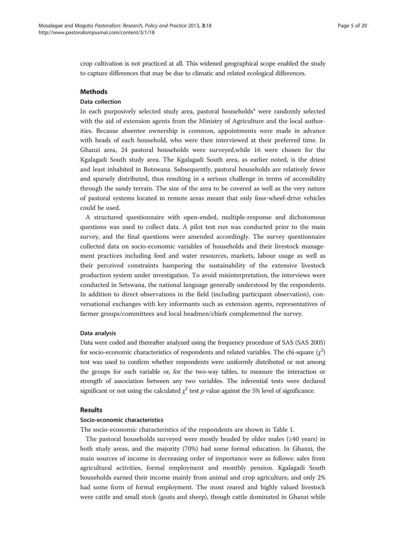crop cultivation is not practiced at all. This widened geographical scope enabled the study to capture differences that may be due to climatic and related ecological differences.

## Methods

#### Data collection

In each purposively selected study area, pastoral households<sup>a</sup> were randomly selected with the aid of extension agents from the Ministry of Agriculture and the local authorities. Because absentee ownership is common, appointments were made in advance with heads of each household, who were then interviewed at their preferred time. In Ghanzi area, 24 pastoral households were surveyed,while 16 were chosen for the Kgalagadi South study area. The Kgalagadi South area, as earlier noted, is the driest and least inhabited in Botswana. Subsequently, pastoral households are relatively fewer and sparsely distributed, thus resulting in a serious challenge in terms of accessibility through the sandy terrain. The size of the area to be covered as well as the very nature of pastoral systems located in remote areas meant that only four-wheel-drive vehicles could be used.

A structured questionnaire with open-ended, multiple-response and dichotomous questions was used to collect data. A pilot test run was conducted prior to the main survey, and the final questions were amended accordingly. The survey questionnaire collected data on socio-economic variables of households and their livestock management practices including feed and water resources, markets, labour usage as well as their perceived constraints hampering the sustainability of the extensive livestock production system under investigation. To avoid misinterpretation, the interviews were conducted in Setswana, the national language generally understood by the respondents. In addition to direct observations in the field (including participant observation), conversational exchanges with key informants such as extension agents, representatives of farmer groups/committees and local headmen/chiefs complemented the survey.

#### Data analysis

Data were coded and thereafter analyzed using the frequency procedure of SAS (SAS [2005](#page-19-0)) for socio-economic characteristics of respondents and related variables. The chi-square  $(\chi^2)$ test was used to confirm whether respondents were uniformly distributed or not among the groups for each variable or, for the two-way tables, to measure the interaction or strength of association between any two variables. The inferential tests were declared significant or not using the calculated  $\chi^2$  test  $p$  value against the 5% level of significance.

## Results

## Socio-economic characteristics

The socio-economic characteristics of the respondents are shown in Table [1.](#page-5-0)

The pastoral households surveyed were mostly headed by older males ( $\geq 40$  years) in both study areas, and the majority (70%) had some formal education. In Ghanzi, the main sources of income in decreasing order of importance were as follows: sales from agricultural activities, formal employment and monthly pension. Kgalagadi South households earned their income mainly from animal and crop agriculture, and only 2% had some form of formal employment. The most reared and highly valued livestock were cattle and small stock (goats and sheep), though cattle dominated in Ghanzi while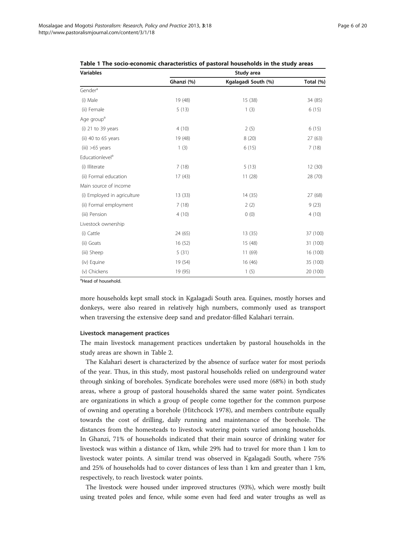| <b>Variables</b>            | Study area |                     |           |  |  |
|-----------------------------|------------|---------------------|-----------|--|--|
|                             | Ghanzi (%) | Kgalagadi South (%) | Total (%) |  |  |
| Gender <sup>a</sup>         |            |                     |           |  |  |
| (i) Male                    | 19 (48)    | 15 (38)             | 34 (85)   |  |  |
| (ii) Female                 | 5(13)      | 1(3)                | 6(15)     |  |  |
| Age group <sup>a</sup>      |            |                     |           |  |  |
| $(i)$ 21 to 39 years        | 4(10)      | 2(5)                | 6(15)     |  |  |
| (ii) 40 to 65 years         | 19 (48)    | 8(20)               | 27(63)    |  |  |
| $(iii) >65$ years           | 1(3)       | 6(15)               | 7(18)     |  |  |
| Educationlevel <sup>a</sup> |            |                     |           |  |  |
| (i) Illiterate              | 7(18)      | 5(13)               | 12(30)    |  |  |
| (ii) Formal education       | 17(43)     | 11(28)              | 28 (70)   |  |  |
| Main source of income       |            |                     |           |  |  |
| (i) Employed in agriculture | 13(33)     | 14(35)              | 27(68)    |  |  |
| (ii) Formal employment      | 7(18)      | 2(2)                | 9(23)     |  |  |
| (iii) Pension               | 4(10)      | 0(0)                | 4(10)     |  |  |
| Livestock ownership         |            |                     |           |  |  |
| (i) Cattle                  | 24 (65)    | 13(35)              | 37 (100)  |  |  |
| (ii) Goats                  | 16(52)     | 15 (48)             | 31 (100)  |  |  |
| (iii) Sheep                 | 5(31)      | 11(69)              | 16 (100)  |  |  |
| (iv) Equine                 | 19 (54)    | 16(46)              | 35 (100)  |  |  |
| (v) Chickens                | 19 (95)    | 1(5)                | 20 (100)  |  |  |

<span id="page-5-0"></span>

| Table 1 The socio-economic characteristics of pastoral households in the study areas |  |  |  |
|--------------------------------------------------------------------------------------|--|--|--|
|--------------------------------------------------------------------------------------|--|--|--|

<sup>a</sup>Head of household.

more households kept small stock in Kgalagadi South area. Equines, mostly horses and donkeys, were also reared in relatively high numbers, commonly used as transport when traversing the extensive deep sand and predator-filled Kalahari terrain.

#### Livestock management practices

The main livestock management practices undertaken by pastoral households in the study areas are shown in Table [2.](#page-6-0)

The Kalahari desert is characterized by the absence of surface water for most periods of the year. Thus, in this study, most pastoral households relied on underground water through sinking of boreholes. Syndicate boreholes were used more (68%) in both study areas, where a group of pastoral households shared the same water point. Syndicates are organizations in which a group of people come together for the common purpose of owning and operating a borehole (Hitchcock [1978\)](#page-18-0), and members contribute equally towards the cost of drilling, daily running and maintenance of the borehole. The distances from the homesteads to livestock watering points varied among households. In Ghanzi, 71% of households indicated that their main source of drinking water for livestock was within a distance of 1km, while 29% had to travel for more than 1 km to livestock water points. A similar trend was observed in Kgalagadi South, where 75% and 25% of households had to cover distances of less than 1 km and greater than 1 km, respectively, to reach livestock water points.

The livestock were housed under improved structures (93%), which were mostly built using treated poles and fence, while some even had feed and water troughs as well as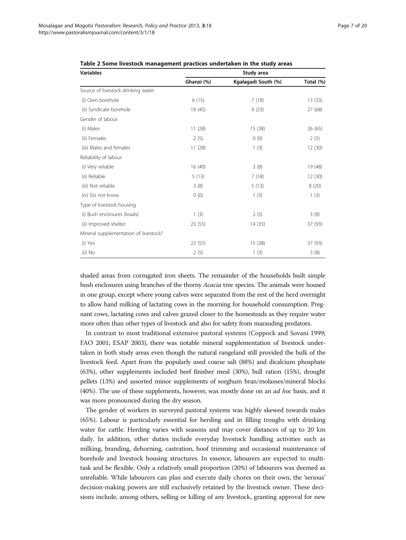| <b>Variables</b>                      | Study area |                     |           |  |  |
|---------------------------------------|------------|---------------------|-----------|--|--|
|                                       | Ghanzi (%) | Kgalagadi South (%) | Total (%) |  |  |
| Source of livestock drinking water    |            |                     |           |  |  |
| (i) Own borehole                      | 6(15)      | 7(18)               | 13(33)    |  |  |
| (ii) Syndicate borehole               | 18 (45)    | 9(23)               | 27 (68)   |  |  |
| Gender of labour                      |            |                     |           |  |  |
| (i) Males                             | 11(28)     | 15(38)              | 26(65)    |  |  |
| (ii) Females                          | 2(5)       | 0(0)                | 2(5)      |  |  |
| (iii) Males and females               | 11(28)     | 1(3)                | 12 (30)   |  |  |
| Reliability of labour                 |            |                     |           |  |  |
| (i) Very reliable                     | 16(40)     | 3(8)                | 19 (48)   |  |  |
| (ii) Reliable                         | 5(13)      | 7(18)               | 12 (30)   |  |  |
| (iii) Not reliable                    | 3(8)       | 5(13)               | 8(20)     |  |  |
| (iv) Do not know                      | 0(0)       | 1(3)                | 1(3)      |  |  |
| Type of livestock housing             |            |                     |           |  |  |
| (i) Bush enclosures (kraals)          | 1(3)       | 2(5)                | 3(8)      |  |  |
| (ii) Improved shelter                 | 23(55)     | 14 (35)             | 37 (93)   |  |  |
| Mineral supplementation of livestock? |            |                     |           |  |  |
| (i) Yes                               | 22 (55)    | 15(38)              | 37 (93)   |  |  |
| (ii) No                               | 2(5)       | 1(3)                | 3(8)      |  |  |

<span id="page-6-0"></span>

| Table 2 Some livestock management practices undertaken in the study areas |  |  |  |  |  |
|---------------------------------------------------------------------------|--|--|--|--|--|
|---------------------------------------------------------------------------|--|--|--|--|--|

shaded areas from corrugated iron sheets. The remainder of the households built simple bush enclosures using branches of the thorny Acacia tree species. The animals were housed in one group, except where young calves were separated from the rest of the herd overnight to allow hand milking of lactating cows in the morning for household consumption. Pregnant cows, lactating cows and calves grazed closer to the homesteads as they require water more often than other types of livestock and also for safety from marauding predators.

In contrast to most traditional extensive pastoral systems (Coppock and Sovani [1999](#page-17-0); FAO [2001;](#page-18-0) ESAP [2003](#page-18-0)), there was notable mineral supplementation of livestock undertaken in both study areas even though the natural rangeland still provided the bulk of the livestock feed. Apart from the popularly used coarse salt (88%) and dicalcium phosphate (63%), other supplements included beef finisher meal (30%), bull ration (15%), drought pellets (13%) and assorted minor supplements of sorghum bran/molasses/mineral blocks (40%). The use of these supplements, however, was mostly done on an ad hoc basis, and it was more pronounced during the dry season.

The gender of workers in surveyed pastoral systems was highly skewed towards males (65%). Labour is particularly essential for herding and in filling troughs with drinking water for cattle. Herding varies with seasons and may cover distances of up to 20 km daily. In addition, other duties include everyday livestock handling activities such as milking, branding, dehorning, castration, hoof trimming and occasional maintenance of borehole and livestock housing structures. In essence, labourers are expected to multitask and be flexible. Only a relatively small proportion (20%) of labourers was deemed as unreliable. While labourers can plan and execute daily chores on their own, the 'serious' decision-making powers are still exclusively retained by the livestock owner. These decisions include, among others, selling or killing of any livestock, granting approval for new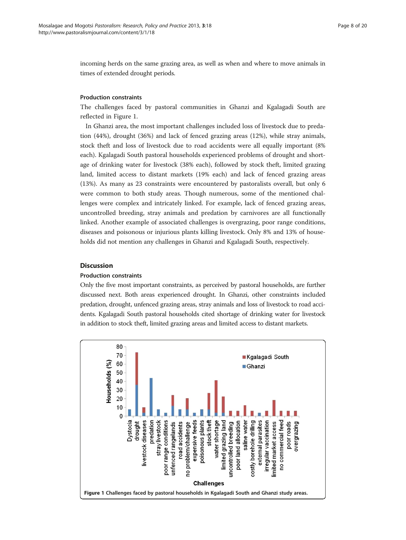incoming herds on the same grazing area, as well as when and where to move animals in times of extended drought periods.

## Production constraints

The challenges faced by pastoral communities in Ghanzi and Kgalagadi South are reflected in Figure 1.

In Ghanzi area, the most important challenges included loss of livestock due to predation (44%), drought (36%) and lack of fenced grazing areas (12%), while stray animals, stock theft and loss of livestock due to road accidents were all equally important (8% each). Kgalagadi South pastoral households experienced problems of drought and shortage of drinking water for livestock (38% each), followed by stock theft, limited grazing land, limited access to distant markets (19% each) and lack of fenced grazing areas (13%). As many as 23 constraints were encountered by pastoralists overall, but only 6 were common to both study areas. Though numerous, some of the mentioned challenges were complex and intricately linked. For example, lack of fenced grazing areas, uncontrolled breeding, stray animals and predation by carnivores are all functionally linked. Another example of associated challenges is overgrazing, poor range conditions, diseases and poisonous or injurious plants killing livestock. Only 8% and 13% of households did not mention any challenges in Ghanzi and Kgalagadi South, respectively.

## **Discussion**

#### Production constraints

Only the five most important constraints, as perceived by pastoral households, are further discussed next. Both areas experienced drought. In Ghanzi, other constraints included predation, drought, unfenced grazing areas, stray animals and loss of livestock to road accidents. Kgalagadi South pastoral households cited shortage of drinking water for livestock in addition to stock theft, limited grazing areas and limited access to distant markets.

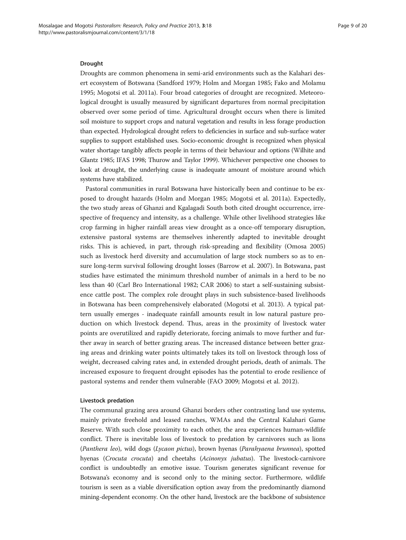#### Drought

Droughts are common phenomena in semi-arid environments such as the Kalahari desert ecosystem of Botswana (Sandford [1979;](#page-19-0) Holm and Morgan [1985](#page-18-0); Fako and Molamu [1995](#page-18-0); Mogotsi et al. [2011a](#page-18-0)). Four broad categories of drought are recognized. Meteorological drought is usually measured by significant departures from normal precipitation observed over some period of time. Agricultural drought occurs when there is limited soil moisture to support crops and natural vegetation and results in less forage production than expected. Hydrological drought refers to deficiencies in surface and sub-surface water supplies to support established uses. Socio-economic drought is recognized when physical water shortage tangibly affects people in terms of their behaviour and options (Wilhite and Glantz [1985;](#page-19-0) IFAS [1998](#page-18-0); Thurow and Taylor [1999\)](#page-19-0). Whichever perspective one chooses to look at drought, the underlying cause is inadequate amount of moisture around which systems have stabilized.

Pastoral communities in rural Botswana have historically been and continue to be exposed to drought hazards (Holm and Morgan [1985;](#page-18-0) Mogotsi et al. [2011a](#page-18-0)). Expectedly, the two study areas of Ghanzi and Kgalagadi South both cited drought occurrence, irrespective of frequency and intensity, as a challenge. While other livelihood strategies like crop farming in higher rainfall areas view drought as a once-off temporary disruption, extensive pastoral systems are themselves inherently adapted to inevitable drought risks. This is achieved, in part, through risk-spreading and flexibility (Omosa [2005](#page-19-0)) such as livestock herd diversity and accumulation of large stock numbers so as to ensure long-term survival following drought losses (Barrow et al. [2007\)](#page-17-0). In Botswana, past studies have estimated the minimum threshold number of animals in a herd to be no less than 40 (Carl Bro International [1982;](#page-17-0) CAR [2006](#page-17-0)) to start a self-sustaining subsistence cattle post. The complex role drought plays in such subsistence-based livelihoods in Botswana has been comprehensively elaborated (Mogotsi et al. [2013](#page-19-0)). A typical pattern usually emerges - inadequate rainfall amounts result in low natural pasture production on which livestock depend. Thus, areas in the proximity of livestock water points are overutilized and rapidly deteriorate, forcing animals to move further and further away in search of better grazing areas. The increased distance between better grazing areas and drinking water points ultimately takes its toll on livestock through loss of weight, decreased calving rates and, in extended drought periods, death of animals. The increased exposure to frequent drought episodes has the potential to erode resilience of pastoral systems and render them vulnerable (FAO [2009;](#page-18-0) Mogotsi et al. [2012](#page-18-0)).

#### Livestock predation

The communal grazing area around Ghanzi borders other contrasting land use systems, mainly private freehold and leased ranches, WMAs and the Central Kalahari Game Reserve. With such close proximity to each other, the area experiences human-wildlife conflict. There is inevitable loss of livestock to predation by carnivores such as lions (Panthera leo), wild dogs (Lycaon pictus), brown hyenas (Parahyaena brunnea), spotted hyenas (Crocuta crocuta) and cheetahs (Acinonyx jubatus). The livestock-carnivore conflict is undoubtedly an emotive issue. Tourism generates significant revenue for Botswana's economy and is second only to the mining sector. Furthermore, wildlife tourism is seen as a viable diversification option away from the predominantly diamond mining-dependent economy. On the other hand, livestock are the backbone of subsistence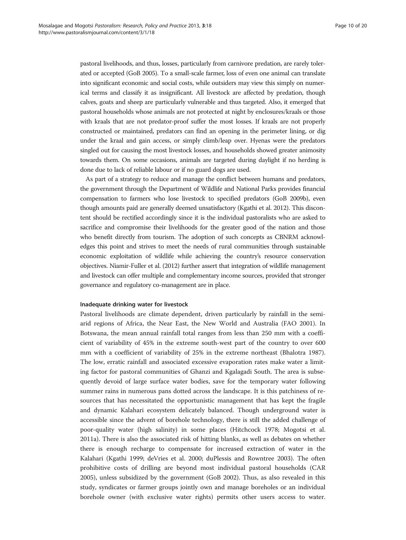pastoral livelihoods, and thus, losses, particularly from carnivore predation, are rarely tolerated or accepted (GoB [2005\)](#page-18-0). To a small-scale farmer, loss of even one animal can translate into significant economic and social costs, while outsiders may view this simply on numerical terms and classify it as insignificant. All livestock are affected by predation, though calves, goats and sheep are particularly vulnerable and thus targeted. Also, it emerged that pastoral households whose animals are not protected at night by enclosures/kraals or those with kraals that are not predator-proof suffer the most losses. If kraals are not properly constructed or maintained, predators can find an opening in the perimeter lining, or dig under the kraal and gain access, or simply climb/leap over. Hyenas were the predators singled out for causing the most livestock losses, and households showed greater animosity towards them. On some occasions, animals are targeted during daylight if no herding is done due to lack of reliable labour or if no guard dogs are used.

As part of a strategy to reduce and manage the conflict between humans and predators, the government through the Department of Wildlife and National Parks provides financial compensation to farmers who lose livestock to specified predators (GoB [2009b](#page-18-0)), even though amounts paid are generally deemed unsatisfactory (Kgathi et al. [2012](#page-18-0)). This discontent should be rectified accordingly since it is the individual pastoralists who are asked to sacrifice and compromise their livelihoods for the greater good of the nation and those who benefit directly from tourism. The adoption of such concepts as CBNRM acknowledges this point and strives to meet the needs of rural communities through sustainable economic exploitation of wildlife while achieving the country's resource conservation objectives. Niamir-Fuller et al. ([2012\)](#page-19-0) further assert that integration of wildlife management and livestock can offer multiple and complementary income sources, provided that stronger governance and regulatory co-management are in place.

#### Inadequate drinking water for livestock

Pastoral livelihoods are climate dependent, driven particularly by rainfall in the semiarid regions of Africa, the Near East, the New World and Australia (FAO [2001](#page-18-0)). In Botswana, the mean annual rainfall total ranges from less than 250 mm with a coefficient of variability of 45% in the extreme south-west part of the country to over 600 mm with a coefficient of variability of 25% in the extreme northeast (Bhalotra [1987](#page-17-0)). The low, erratic rainfall and associated excessive evaporation rates make water a limiting factor for pastoral communities of Ghanzi and Kgalagadi South. The area is subsequently devoid of large surface water bodies, save for the temporary water following summer rains in numerous pans dotted across the landscape. It is this patchiness of resources that has necessitated the opportunistic management that has kept the fragile and dynamic Kalahari ecosystem delicately balanced. Though underground water is accessible since the advent of borehole technology, there is still the added challenge of poor-quality water (high salinity) in some places (Hitchcock [1978;](#page-18-0) Mogotsi et al. [2011a\)](#page-18-0). There is also the associated risk of hitting blanks, as well as debates on whether there is enough recharge to compensate for increased extraction of water in the Kalahari (Kgathi [1999;](#page-18-0) deVries et al. [2000](#page-17-0); duPlessis and Rowntree [2003](#page-18-0)). The often prohibitive costs of drilling are beyond most individual pastoral households (CAR [2005](#page-17-0)), unless subsidized by the government (GoB [2002](#page-18-0)). Thus, as also revealed in this study, syndicates or farmer groups jointly own and manage boreholes or an individual borehole owner (with exclusive water rights) permits other users access to water.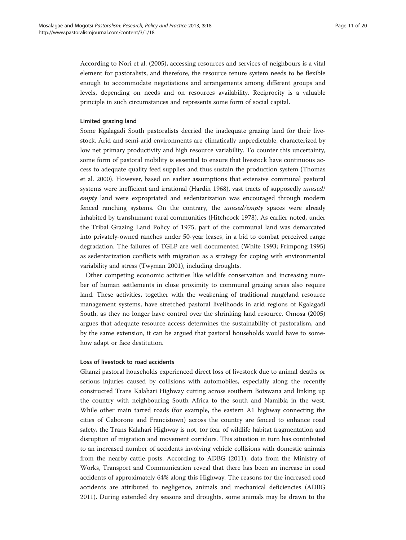According to Nori et al. ([2005](#page-19-0)), accessing resources and services of neighbours is a vital element for pastoralists, and therefore, the resource tenure system needs to be flexible enough to accommodate negotiations and arrangements among different groups and levels, depending on needs and on resources availability. Reciprocity is a valuable principle in such circumstances and represents some form of social capital.

## Limited grazing land

Some Kgalagadi South pastoralists decried the inadequate grazing land for their livestock. Arid and semi-arid environments are climatically unpredictable, characterized by low net primary productivity and high resource variability. To counter this uncertainty, some form of pastoral mobility is essential to ensure that livestock have continuous access to adequate quality feed supplies and thus sustain the production system (Thomas et al. [2000](#page-19-0)). However, based on earlier assumptions that extensive communal pastoral systems were inefficient and irrational (Hardin [1968](#page-18-0)), vast tracts of supposedly *unused*/ empty land were expropriated and sedentarization was encouraged through modern fenced ranching systems. On the contrary, the unused/empty spaces were already inhabited by transhumant rural communities (Hitchcock [1978\)](#page-18-0). As earlier noted, under the Tribal Grazing Land Policy of 1975, part of the communal land was demarcated into privately-owned ranches under 50-year leases, in a bid to combat perceived range degradation. The failures of TGLP are well documented (White [1993;](#page-19-0) Frimpong [1995](#page-18-0)) as sedentarization conflicts with migration as a strategy for coping with environmental variability and stress (Twyman [2001\)](#page-19-0), including droughts.

Other competing economic activities like wildlife conservation and increasing number of human settlements in close proximity to communal grazing areas also require land. These activities, together with the weakening of traditional rangeland resource management systems, have stretched pastoral livelihoods in arid regions of Kgalagadi South, as they no longer have control over the shrinking land resource. Omosa ([2005](#page-19-0)) argues that adequate resource access determines the sustainability of pastoralism, and by the same extension, it can be argued that pastoral households would have to somehow adapt or face destitution.

## Loss of livestock to road accidents

Ghanzi pastoral households experienced direct loss of livestock due to animal deaths or serious injuries caused by collisions with automobiles, especially along the recently constructed Trans Kalahari Highway cutting across southern Botswana and linking up the country with neighbouring South Africa to the south and Namibia in the west. While other main tarred roads (for example, the eastern A1 highway connecting the cities of Gaborone and Francistown) across the country are fenced to enhance road safety, the Trans Kalahari Highway is not, for fear of wildlife habitat fragmentation and disruption of migration and movement corridors. This situation in turn has contributed to an increased number of accidents involving vehicle collisions with domestic animals from the nearby cattle posts. According to ADBG ([2011](#page-17-0)), data from the Ministry of Works, Transport and Communication reveal that there has been an increase in road accidents of approximately 64% along this Highway. The reasons for the increased road accidents are attributed to negligence, animals and mechanical deficiencies (ADBG [2011](#page-17-0)). During extended dry seasons and droughts, some animals may be drawn to the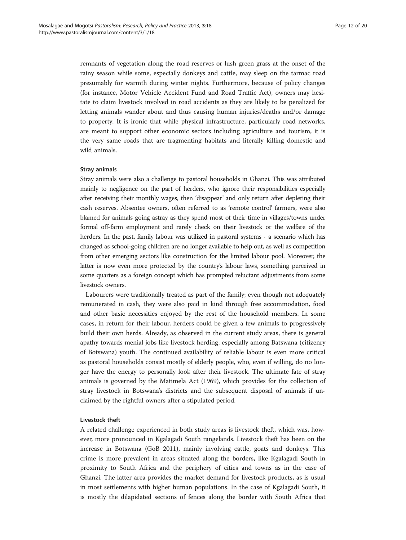remnants of vegetation along the road reserves or lush green grass at the onset of the rainy season while some, especially donkeys and cattle, may sleep on the tarmac road presumably for warmth during winter nights. Furthermore, because of policy changes (for instance, Motor Vehicle Accident Fund and Road Traffic Act), owners may hesitate to claim livestock involved in road accidents as they are likely to be penalized for letting animals wander about and thus causing human injuries/deaths and/or damage to property. It is ironic that while physical infrastructure, particularly road networks, are meant to support other economic sectors including agriculture and tourism, it is the very same roads that are fragmenting habitats and literally killing domestic and wild animals.

#### Stray animals

Stray animals were also a challenge to pastoral households in Ghanzi. This was attributed mainly to negligence on the part of herders, who ignore their responsibilities especially after receiving their monthly wages, then 'disappear' and only return after depleting their cash reserves. Absentee owners, often referred to as 'remote control' farmers, were also blamed for animals going astray as they spend most of their time in villages/towns under formal off-farm employment and rarely check on their livestock or the welfare of the herders. In the past, family labour was utilized in pastoral systems - a scenario which has changed as school-going children are no longer available to help out, as well as competition from other emerging sectors like construction for the limited labour pool. Moreover, the latter is now even more protected by the country's labour laws, something perceived in some quarters as a foreign concept which has prompted reluctant adjustments from some livestock owners.

Labourers were traditionally treated as part of the family; even though not adequately remunerated in cash, they were also paid in kind through free accommodation, food and other basic necessities enjoyed by the rest of the household members. In some cases, in return for their labour, herders could be given a few animals to progressively build their own herds. Already, as observed in the current study areas, there is general apathy towards menial jobs like livestock herding, especially among Batswana (citizenry of Botswana) youth. The continued availability of reliable labour is even more critical as pastoral households consist mostly of elderly people, who, even if willing, do no longer have the energy to personally look after their livestock. The ultimate fate of stray animals is governed by the Matimela Act (1969), which provides for the collection of stray livestock in Botswana's districts and the subsequent disposal of animals if unclaimed by the rightful owners after a stipulated period.

#### Livestock theft

A related challenge experienced in both study areas is livestock theft, which was, however, more pronounced in Kgalagadi South rangelands. Livestock theft has been on the increase in Botswana (GoB [2011\)](#page-18-0), mainly involving cattle, goats and donkeys. This crime is more prevalent in areas situated along the borders, like Kgalagadi South in proximity to South Africa and the periphery of cities and towns as in the case of Ghanzi. The latter area provides the market demand for livestock products, as is usual in most settlements with higher human populations. In the case of Kgalagadi South, it is mostly the dilapidated sections of fences along the border with South Africa that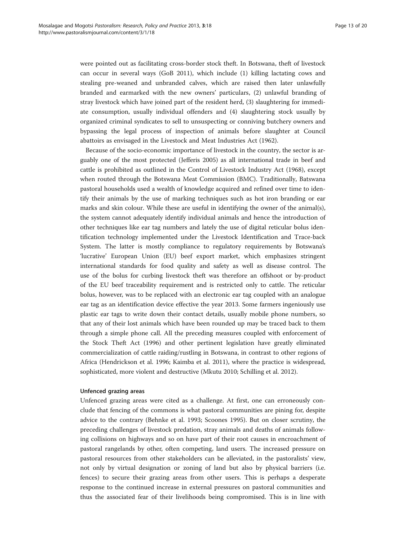were pointed out as facilitating cross-border stock theft. In Botswana, theft of livestock can occur in several ways (GoB [2011\)](#page-18-0), which include (1) killing lactating cows and stealing pre-weaned and unbranded calves, which are raised then later unlawfully branded and earmarked with the new owners' particulars, (2) unlawful branding of stray livestock which have joined part of the resident herd, (3) slaughtering for immediate consumption, usually individual offenders and (4) slaughtering stock usually by organized criminal syndicates to sell to unsuspecting or conniving butchery owners and bypassing the legal process of inspection of animals before slaughter at Council abattoirs as envisaged in the Livestock and Meat Industries Act (1962).

Because of the socio-economic importance of livestock in the country, the sector is arguably one of the most protected (Jefferis [2005\)](#page-18-0) as all international trade in beef and cattle is prohibited as outlined in the Control of Livestock Industry Act (1968), except when routed through the Botswana Meat Commission (BMC). Traditionally, Batswana pastoral households used a wealth of knowledge acquired and refined over time to identify their animals by the use of marking techniques such as hot iron branding or ear marks and skin colour. While these are useful in identifying the owner of the animal(s), the system cannot adequately identify individual animals and hence the introduction of other techniques like ear tag numbers and lately the use of digital reticular bolus identification technology implemented under the Livestock Identification and Trace-back System. The latter is mostly compliance to regulatory requirements by Botswana's 'lucrative' European Union (EU) beef export market, which emphasizes stringent international standards for food quality and safety as well as disease control. The use of the bolus for curbing livestock theft was therefore an offshoot or by-product of the EU beef traceability requirement and is restricted only to cattle. The reticular bolus, however, was to be replaced with an electronic ear tag coupled with an analogue ear tag as an identification device effective the year 2013. Some farmers ingeniously use plastic ear tags to write down their contact details, usually mobile phone numbers, so that any of their lost animals which have been rounded up may be traced back to them through a simple phone call. All the preceding measures coupled with enforcement of the Stock Theft Act (1996) and other pertinent legislation have greatly eliminated commercialization of cattle raiding/rustling in Botswana, in contrast to other regions of Africa (Hendrickson et al. [1996](#page-18-0); Kaimba et al. [2011](#page-18-0)), where the practice is widespread, sophisticated, more violent and destructive (Mkutu [2010;](#page-18-0) Schilling et al. [2012\)](#page-19-0).

## Unfenced grazing areas

Unfenced grazing areas were cited as a challenge. At first, one can erroneously conclude that fencing of the commons is what pastoral communities are pining for, despite advice to the contrary (Behnke et al. [1993;](#page-17-0) Scoones [1995](#page-19-0)). But on closer scrutiny, the preceding challenges of livestock predation, stray animals and deaths of animals following collisions on highways and so on have part of their root causes in encroachment of pastoral rangelands by other, often competing, land users. The increased pressure on pastoral resources from other stakeholders can be alleviated, in the pastoralists' view, not only by virtual designation or zoning of land but also by physical barriers (i.e. fences) to secure their grazing areas from other users. This is perhaps a desperate response to the continued increase in external pressures on pastoral communities and thus the associated fear of their livelihoods being compromised. This is in line with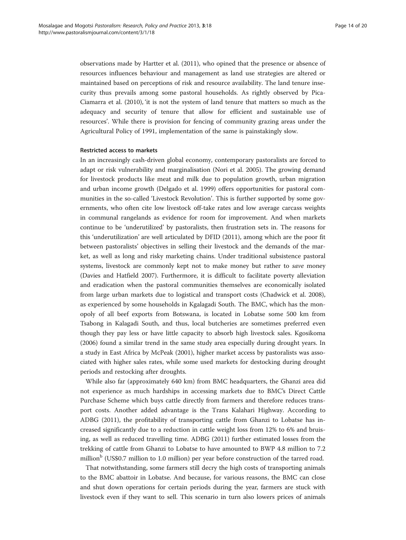observations made by Hartter et al. [\(2011\)](#page-18-0), who opined that the presence or absence of resources influences behaviour and management as land use strategies are altered or maintained based on perceptions of risk and resource availability. The land tenure insecurity thus prevails among some pastoral households. As rightly observed by Pica-Ciamarra et al. ([2010](#page-19-0)), 'it is not the system of land tenure that matters so much as the adequacy and security of tenure that allow for efficient and sustainable use of resources'. While there is provision for fencing of community grazing areas under the Agricultural Policy of 1991, implementation of the same is painstakingly slow.

## Restricted access to markets

In an increasingly cash-driven global economy, contemporary pastoralists are forced to adapt or risk vulnerability and marginalisation (Nori et al. [2005](#page-19-0)). The growing demand for livestock products like meat and milk due to population growth, urban migration and urban income growth (Delgado et al. [1999\)](#page-17-0) offers opportunities for pastoral communities in the so-called 'Livestock Revolution'. This is further supported by some governments, who often cite low livestock off-take rates and low average carcass weights in communal rangelands as evidence for room for improvement. And when markets continue to be 'underutilized' by pastoralists, then frustration sets in. The reasons for this 'underutilization' are well articulated by DFID [\(2011](#page-17-0)), among which are the poor fit between pastoralists' objectives in selling their livestock and the demands of the market, as well as long and risky marketing chains. Under traditional subsistence pastoral systems, livestock are commonly kept not to make money but rather to *save* money (Davies and Hatfield [2007](#page-17-0)). Furthermore, it is difficult to facilitate poverty alleviation and eradication when the pastoral communities themselves are economically isolated from large urban markets due to logistical and transport costs (Chadwick et al. [2008](#page-17-0)), as experienced by some households in Kgalagadi South. The BMC, which has the monopoly of all beef exports from Botswana, is located in Lobatse some 500 km from Tsabong in Kalagadi South, and thus, local butcheries are sometimes preferred even though they pay less or have little capacity to absorb high livestock sales. Kgosikoma ([2006](#page-18-0)) found a similar trend in the same study area especially during drought years. In a study in East Africa by McPeak [\(2001](#page-18-0)), higher market access by pastoralists was associated with higher sales rates, while some used markets for destocking during drought periods and restocking after droughts.

While also far (approximately 640 km) from BMC headquarters, the Ghanzi area did not experience as much hardships in accessing markets due to BMC's Direct Cattle Purchase Scheme which buys cattle directly from farmers and therefore reduces transport costs. Another added advantage is the Trans Kalahari Highway. According to ADBG [\(2011\)](#page-17-0), the profitability of transporting cattle from Ghanzi to Lobatse has increased significantly due to a reduction in cattle weight loss from 12% to 6% and bruising, as well as reduced travelling time. ADBG [\(2011\)](#page-17-0) further estimated losses from the trekking of cattle from Ghanzi to Lobatse to have amounted to BWP 4.8 million to 7.2 million<sup>b</sup> (US\$0.7 million to 1.0 million) per year before construction of the tarred road.

That notwithstanding, some farmers still decry the high costs of transporting animals to the BMC abattoir in Lobatse. And because, for various reasons, the BMC can close and shut down operations for certain periods during the year, farmers are stuck with livestock even if they want to sell. This scenario in turn also lowers prices of animals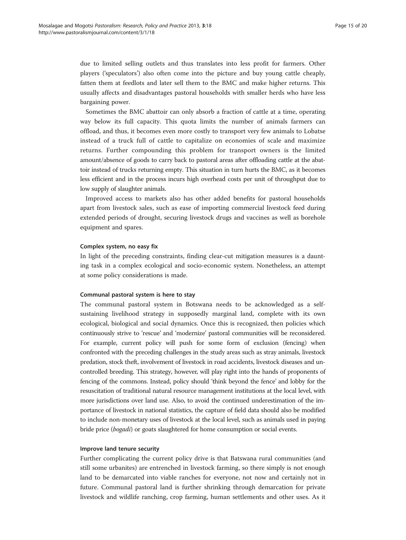due to limited selling outlets and thus translates into less profit for farmers. Other players ('speculators') also often come into the picture and buy young cattle cheaply, fatten them at feedlots and later sell them to the BMC and make higher returns. This usually affects and disadvantages pastoral households with smaller herds who have less bargaining power.

Sometimes the BMC abattoir can only absorb a fraction of cattle at a time, operating way below its full capacity. This quota limits the number of animals farmers can offload, and thus, it becomes even more costly to transport very few animals to Lobatse instead of a truck full of cattle to capitalize on economies of scale and maximize returns. Further compounding this problem for transport owners is the limited amount/absence of goods to carry back to pastoral areas after offloading cattle at the abattoir instead of trucks returning empty. This situation in turn hurts the BMC, as it becomes less efficient and in the process incurs high overhead costs per unit of throughput due to low supply of slaughter animals.

Improved access to markets also has other added benefits for pastoral households apart from livestock sales, such as ease of importing commercial livestock feed during extended periods of drought, securing livestock drugs and vaccines as well as borehole equipment and spares.

#### Complex system, no easy fix

In light of the preceding constraints, finding clear-cut mitigation measures is a daunting task in a complex ecological and socio-economic system. Nonetheless, an attempt at some policy considerations is made.

#### Communal pastoral system is here to stay

The communal pastoral system in Botswana needs to be acknowledged as a selfsustaining livelihood strategy in supposedly marginal land, complete with its own ecological, biological and social dynamics. Once this is recognized, then policies which continuously strive to 'rescue' and 'modernize' pastoral communities will be reconsidered. For example, current policy will push for some form of exclusion (fencing) when confronted with the preceding challenges in the study areas such as stray animals, livestock predation, stock theft, involvement of livestock in road accidents, livestock diseases and uncontrolled breeding. This strategy, however, will play right into the hands of proponents of fencing of the commons. Instead, policy should 'think beyond the fence' and lobby for the resuscitation of traditional natural resource management institutions at the local level, with more jurisdictions over land use. Also, to avoid the continued underestimation of the importance of livestock in national statistics, the capture of field data should also be modified to include non-monetary uses of livestock at the local level, such as animals used in paying bride price (bogadi) or goats slaughtered for home consumption or social events.

#### Improve land tenure security

Further complicating the current policy drive is that Batswana rural communities (and still some urbanites) are entrenched in livestock farming, so there simply is not enough land to be demarcated into viable ranches for everyone, not now and certainly not in future. Communal pastoral land is further shrinking through demarcation for private livestock and wildlife ranching, crop farming, human settlements and other uses. As it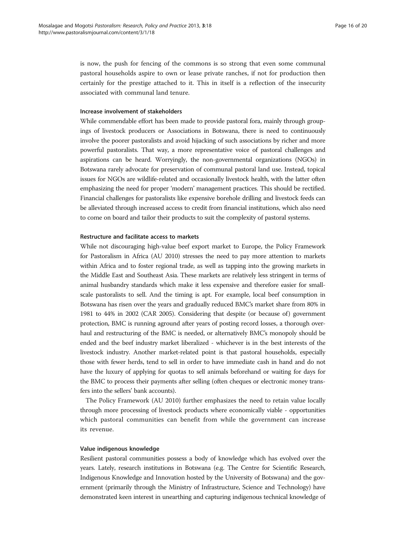is now, the push for fencing of the commons is so strong that even some communal pastoral households aspire to own or lease private ranches, if not for production then certainly for the prestige attached to it. This in itself is a reflection of the insecurity associated with communal land tenure.

## Increase involvement of stakeholders

While commendable effort has been made to provide pastoral fora, mainly through groupings of livestock producers or Associations in Botswana, there is need to continuously involve the poorer pastoralists and avoid hijacking of such associations by richer and more powerful pastoralists. That way, a more representative voice of pastoral challenges and aspirations can be heard. Worryingly, the non-governmental organizations (NGOs) in Botswana rarely advocate for preservation of communal pastoral land use. Instead, topical issues for NGOs are wildlife-related and occasionally livestock health, with the latter often emphasizing the need for proper 'modern' management practices. This should be rectified. Financial challenges for pastoralists like expensive borehole drilling and livestock feeds can be alleviated through increased access to credit from financial institutions, which also need to come on board and tailor their products to suit the complexity of pastoral systems.

## Restructure and facilitate access to markets

While not discouraging high-value beef export market to Europe, the Policy Framework for Pastoralism in Africa (AU [2010](#page-17-0)) stresses the need to pay more attention to markets within Africa and to foster regional trade, as well as tapping into the growing markets in the Middle East and Southeast Asia. These markets are relatively less stringent in terms of animal husbandry standards which make it less expensive and therefore easier for smallscale pastoralists to sell. And the timing is apt. For example, local beef consumption in Botswana has risen over the years and gradually reduced BMC's market share from 80% in 1981 to 44% in 2002 (CAR [2005\)](#page-17-0). Considering that despite (or because of ) government protection, BMC is running aground after years of posting record losses, a thorough overhaul and restructuring of the BMC is needed, or alternatively BMC's monopoly should be ended and the beef industry market liberalized - whichever is in the best interests of the livestock industry. Another market-related point is that pastoral households, especially those with fewer herds, tend to sell in order to have immediate cash in hand and do not have the luxury of applying for quotas to sell animals beforehand or waiting for days for the BMC to process their payments after selling (often cheques or electronic money transfers into the sellers' bank accounts).

The Policy Framework (AU [2010](#page-17-0)) further emphasizes the need to retain value locally through more processing of livestock products where economically viable - opportunities which pastoral communities can benefit from while the government can increase its revenue.

## Value indigenous knowledge

Resilient pastoral communities possess a body of knowledge which has evolved over the years. Lately, research institutions in Botswana (e.g. The Centre for Scientific Research, Indigenous Knowledge and Innovation hosted by the University of Botswana) and the government (primarily through the Ministry of Infrastructure, Science and Technology) have demonstrated keen interest in unearthing and capturing indigenous technical knowledge of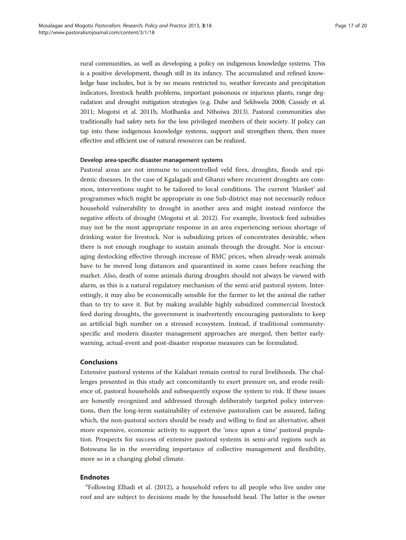rural communities, as well as developing a policy on indigenous knowledge systems. This is a positive development, though still in its infancy. The accumulated and refined knowledge base includes, but is by no means restricted to, weather forecasts and precipitation indicators, livestock health problems, important poisonous or injurious plants, range degradation and drought mitigation strategies (e.g. Dube and Sekhwela [2008](#page-17-0); Cassidy et al. [2011;](#page-17-0) Mogotsi et al. [2011b,](#page-18-0) Motlhanka and Nthoiwa [2013](#page-19-0)). Pastoral communities also traditionally had safety nets for the less privileged members of their society. If policy can tap into these indigenous knowledge systems, support and strengthen them, then more effective and efficient use of natural resources can be realized.

## Develop area-specific disaster management systems

Pastoral areas are not immune to uncontrolled veld fires, droughts, floods and epidemic diseases. In the case of Kgalagadi and Ghanzi where recurrent droughts are common, interventions ought to be tailored to local conditions. The current 'blanket' aid programmes which might be appropriate in one Sub-district may not necessarily reduce household vulnerability to drought in another area and might instead reinforce the negative effects of drought (Mogotsi et al. [2012\)](#page-18-0). For example, livestock feed subsidies may not be the most appropriate response in an area experiencing serious shortage of drinking water for livestock. Nor is subsidizing prices of concentrates desirable, when there is not enough roughage to sustain animals through the drought. Nor is encouraging destocking effective through increase of BMC prices, when already-weak animals have to be moved long distances and quarantined in some cases before reaching the market. Also, death of some animals during droughts should not always be viewed with alarm, as this is a natural regulatory mechanism of the semi-arid pastoral system. Interestingly, it may also be economically sensible for the farmer to let the animal die rather than to try to save it. But by making available highly subsidized commercial livestock feed during droughts, the government is inadvertently encouraging pastoralists to keep an artificial high number on a stressed ecosystem. Instead, if traditional communityspecific and modern disaster management approaches are merged, then better earlywarning, actual-event and post-disaster response measures can be formulated.

## Conclusions

Extensive pastoral systems of the Kalahari remain central to rural livelihoods. The challenges presented in this study act concomitantly to exert pressure on, and erode resilience of, pastoral households and subsequently expose the system to risk. If these issues are honestly recognized and addressed through deliberately targeted policy interventions, then the long-term sustainability of extensive pastoralism can be assured, failing which, the non-pastoral sectors should be ready and willing to find an alternative, albeit more expensive, economic activity to support the 'once upon a time' pastoral population. Prospects for success of extensive pastoral systems in semi-arid regions such as Botswana lie in the overriding importance of collective management and flexibility, more so in a changing global climate.

## Endnotes

<sup>a</sup>Following Elhadi et al. ([2012](#page-18-0)), a household refers to all people who live under one roof and are subject to decisions made by the household head. The latter is the owner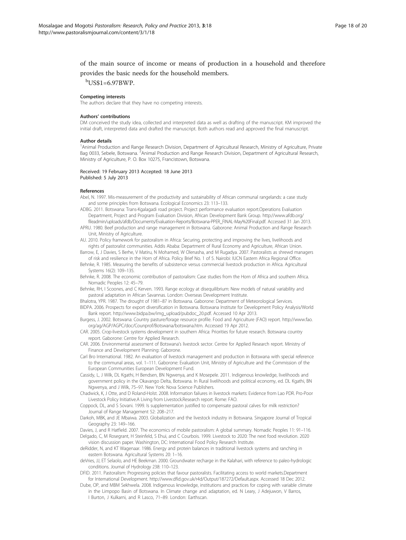# <span id="page-17-0"></span>of the main source of income or means of production in a household and therefore provides the basic needs for the household members.

 $b$ US\$1=6.97BWP.

#### Competing interests

The authors declare that they have no competing interests.

#### Authors' contributions

DM conceived the study idea, collected and interpreted data as well as drafting of the manuscript. KM improved the initial draft, interpreted data and drafted the manuscript. Both authors read and approved the final manuscript.

#### Author details

1 Animal Production and Range Research Division, Department of Agricultural Research, Ministry of Agriculture, Private Bag 0033, Sebele, Botswana. <sup>2</sup>Animal Production and Range Research Division, Department of Agricultural Research, Ministry of Agriculture, P. O. Box 10275, Francistown, Botswana.

#### Received: 19 February 2013 Accepted: 18 June 2013 Published: 5 July 2013

#### References

- Abel, N. 1997. Mis-measurement of the productivity and sustainability of African communal rangelands: a case study and some principles from Botswana. Ecological Economics 23: 113–133.
- ADBG. 2011. Botswana: Trans-Kgalagadi road project. Project performance evaluation report.Operations Evaluation Department, Project and Program Evaluation Division, African Development Bank Group. [http://www.afdb.org/](http://www.afdb.org/fileadmin/uploads/afdb/Documents/Evaluation-Reports/Botswana-PPER_FINAL-May%20Final.pdf) [fileadmin/uploads/afdb/Documents/Evaluation-Reports/Botswana-PPER\\_FINAL-May%20Final.pdf.](http://www.afdb.org/fileadmin/uploads/afdb/Documents/Evaluation-Reports/Botswana-PPER_FINAL-May%20Final.pdf) Accessed 31 Jan 2013.
- APRU. 1980. Beef production and range management in Botswana. Gaborone: Animal Production and Range Research Unit, Ministry of Agriculture.
- AU. 2010. Policy framework for pastoralism in Africa: Securing, protecting and improving the lives, livelihoods and rights of pastoralist communities. Addis Ababa: Department of Rural Economy and Agriculture, African Union.
- Barrow, E, J Davies, S Berhe, V Matiru, N Mohamed, W Olenasha, and M Rugadya. 2007. Pastoralists as shrewd managers of risk and resilience in the Horn of Africa. Policy Brief No. 1 of 5. Nairobi: IUCN Eastern Africa Regional Office.
- Behnke, R. 1985. Measuring the benefits of subsistence versus commercial livestock production in Africa. Agricultural Systems 16(2): 109–135.
- Behnke, R. 2008. The economic contribution of pastoralism: Case studies from the Horn of Africa and southern Africa. Nomadic Peoples 12: 45–79.
- Behnke, RH, I Scoones, and C Kerven. 1993. Range ecology at disequilibrium: New models of natural variability and pastoral adaptation in African Savannas. London: Overseas Development Institute.
- Bhalotra, YPR. 1987. The drought of 1981–87 in Botswana. Gaborone: Department of Meteorological Services.
- BIDPA. 2006. Prospects for export diversification in Botswana. Botswana Institute for Development Policy Analysis/World Bank report. [http://www.bidpa.bw/img\\_upload/pubdoc\\_20.pdf.](http://www.bidpa.bw/img_upload/pubdoc_20.pdf) Accessed 10 Apr 2013.
- Burgess, J. 2002. Botswana: Country pasture/forage resource profile. Food and Agriculture (FAO) report. [http://www.fao.](http://www.fao.org/ag/AGP/AGPC/doc/Counprof/Botswana/botswana.htm) [org/ag/AGP/AGPC/doc/Counprof/Botswana/botswana.htm](http://www.fao.org/ag/AGP/AGPC/doc/Counprof/Botswana/botswana.htm). Accessed 19 Apr 2012.
- CAR. 2005. Crop-livestock systems development in southern Africa: Priorities for future research. Botswana country report. Gaborone: Centre for Applied Research.

CAR. 2006. Environmental assessment of Botswana's livestock sector. Centre for Applied Research report. Ministry of Finance and Development Planning: Gaborone.

- Carl Bro International. 1982. An evaluation of livestock management and production in Botswana with special reference to the communal areas, vol. 1–111. Gaborone: Evaluation Unit, Ministry of Agriculture and the Commission of the European Communities European Development Fund.
- Cassidy, L, J Wilk, DL Kgathi, H Bendsen, BN Ngwenya, and K Mosepele. 2011. Indigenous knowledge, livelihoods and government policy in the Okavango Delta, Botswana. In Rural livelihoods and political economy, ed. DL Kgathi, BN Ngwenya, and J Wilk, 75–97. New York: Nova Science Publishers.
- Chadwick, K, J Otte, and D Roland-Holst. 2008. Information failures in livestock markets: Evidence from Lao PDR. Pro-Poor Livestock Policy Initiative.A Living from Livestock.Research report. Rome: FAO.
- Coppock, DL, and S Sovani. 1999. Is supplementation justified to compensate pastoral calves for milk restriction? Journal of Range Management 52: 208–217.
- Darkoh, MBK, and JE Mbaiwa. 2003. Globalization and the livestock industry in Botswana. Singapore Journal of Tropical Geography 23: 149–166.

Davies, J, and R Hatfield. 2007. The economics of mobile pastoralism: A global summary. Nomadic Peoples 11: 91–116. Delgado, C, M Rosegrant, H Steinfeld, S Ehui, and C Courbois. 1999. Livestock to 2020: The next food revolution. 2020

vision discussion paper. Washington, DC: International Food Policy Research Institute.

deRidder, N, and KT Wagenaar. 1986. Energy and protein balances in traditional livestock systems and ranching in eastern Botswana. Agricultural Systems 20: 1–16.

- deVries, JJ, ET Selaolo, and HE Beekman. 2000. Groundwater recharge in the Kalahari, with reference to paleo-hydrologic conditions. Journal of Hydrology 238: 110–123.
- DFID. 2011. Pastoralism: Progressing policies that favour pastoralists. Facilitating access to world markets.Department for International Development.<http://www.dfid.gov.uk/r4d/Output/187272/Default.aspx>. Accessed 18 Dec 2012.
- Dube, OP, and MBM Sekhwela. 2008. Indigenous knowledge, institutions and practices for coping with variable climate in the Limpopo Basin of Botswana. In Climate change and adaptation, ed. N Leary, J Adejuwon, V Barros,
	- I Burton, J Kulkarni, and R Lasco, 71–89. London: Earthscan.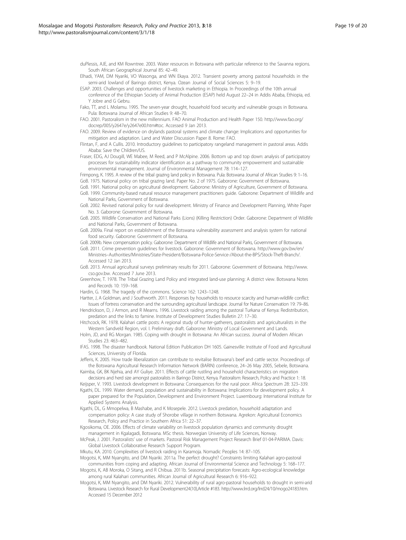<span id="page-18-0"></span>duPlessis, AJE, and KM Rowntree. 2003. Water resources in Botswana with particular reference to the Savanna regions. South African Geographical Journal 85: 42–49.

- Elhadi, YAM, DM Nyariki, VO Wasonga, and WN Ekaya. 2012. Transient poverty among pastoral households in the semi-arid lowland of Baringo district, Kenya. Ozean Journal of Social Sciences 5: 9–19.
- ESAP. 2003. Challenges and opportunities of livestock marketing in Ethiopia. In Proceedings of the 10th annual conference of the Ethiopian Society of Animal Production (ESAP) held August 22–24 in Addis Ababa, Ethiopia, ed. Y Jobre and G Gebru.
- Fako, TT, and L Molamu. 1995. The seven-year drought, household food security and vulnerable groups in Botswana. Pula: Botswana Journal of African Studies 9: 48–70.
- FAO. 2001. Pastoralism in the new millennium. FAO Animal Production and Health Paper 150. [http://www.fao.org/](http://www.fao.org/docrep/005/y2647e/y2647e00.htm#toc) [docrep/005/y2647e/y2647e00.htm#toc.](http://www.fao.org/docrep/005/y2647e/y2647e00.htm#toc) Accessed 9 Jan 2013.
- FAO. 2009. Review of evidence on drylands pastoral systems and climate change: Implications and opportunities for mitigation and adaptation. Land and Water Discussion Paper 8. Rome: FAO.
- Flintan, F, and A Cullis. 2010. Introductory guidelines to participatory rangeland management in pastoral areas. Addis Ababa: Save the Children/US.
- Fraser, EDG, AJ Dougill, WE Mabee, M Reed, and P McAlpine. 2006. Bottom up and top down: analysis of participatory processes for sustainability indicator identification as a pathway to community empowerment and sustainable environmental management. Journal of Environmental Management 78: 114–127.
- Frimpong, K. 1995. A review of the tribal grazing land policy in Botswana. Pula: Botswana Journal of African Studies 9: 1–16. GoB. 1975. National policy on tribal grazing land. Paper No. 2 of 1975. Gaborone: Government of Botswana.
- GoB. 1991. National policy on agricultural development. Gaborone: Ministry of Agriculture, Government of Botswana.
- GoB. 1999. Community-based natural resource management practitioners guide. Gaborone: Department of Wildlife and National Parks, Government of Botswana.
- GoB. 2002. Revised national policy for rural development. Ministry of Finance and Development Planning, White Paper No. 3. Gaborone: Government of Botswana.
- GoB. 2005. Wildlife Conservation and National Parks (Lions) (Killing Restriction) Order. Gaborone: Department of Wildlife and National Parks, Government of Botswana.
- GoB. 2009a. Final report on establishment of the Botswana vulnerability assessment and analysis system for national food security. Gaborone: Government of Botswana.
- GoB. 2009b. New compensation policy. Gaborone: Department of Wildlife and National Parks, Government of Botswana.

GoB. 2011. Crime prevention guidelines for livestock. Gaborone: Government of Botswana. [http://www.gov.bw/en/](http://www.gov.bw/en/Ministries--Authorities/Ministries/State-President/Botswana-Police-Service-/About-the-BPS/Stock-Theft-Branch/) Ministries–[Authorities/Ministries/State-President/Botswana-Police-Service-/About-the-BPS/Stock-Theft-Branch/.](http://www.gov.bw/en/Ministries--Authorities/Ministries/State-President/Botswana-Police-Service-/About-the-BPS/Stock-Theft-Branch/) Accessed 12 Jan 2013.

- GoB. 2013. Annual agricultural surveys preliminary results for 2011. Gaborone: Government of Botswana. [http://www.](http://www.cso.gov.bw) [cso.gov.bw](http://www.cso.gov.bw). Accessed 7 June 2013.
- Greenhow, T. 1978. The Tribal Grazing Land Policy and integrated land-use planning: A district view. Botswana Notes and Records 10: 159–168.
- Hardin, G. 1968. The tragedy of the commons. Science 162: 1243–1248.
- Hartter, J, A Goldman, and J Southworth. 2011. Responses by households to resource scarcity and human-wildlife conflict: Issues of fortress conservation and the surrounding agricultural landscape. Journal for Nature Conservation 19: 79–86.
- Hendrickson, D, J Armon, and R Mearns. 1996. Livestock raiding among the pastoral Turkana of Kenya: Redistribution, predation and the links to famine. Institute of Development Studies Bulletin 27: 17–30.
- Hitchcock, RK. 1978. Kalahari cattle posts: A regional study of hunter-gatherers, pastoralists and agriculturalists in the Western Sandveld Region, vol. I. Preliminary draft. Gaborone: Ministry of Local Government and Lands.
- Holm, JD, and RG Morgan. 1985. Coping with drought in Botswana: An African success. Journal of Modern African Studies 23: 463–482.
- IFAS. 1998. The disaster handbook. National Edition Publication DH 1605. Gainesville: Institute of Food and Agricultural Sciences, University of Florida.
- Jefferis, K. 2005. How trade liberalization can contribute to revitalise Botswana's beef and cattle sector. Proceedings of the Botswana Agricultural Research Information Network (BARIN) conference, 24–26 May 2005, Sebele, Botswana.
- Kaimba, GK, BK Njehia, and AY Guliye. 2011. Effects of cattle rustling and household characteristics on migration decisions and herd size amongst pastoralists in Baringo District, Kenya. Pastoralism: Research, Policy and Practice 1: 18.
- Keijsper, V. 1993. Livestock development in Botswana: Consequences for the rural poor. Africa Spectrum 28: 323–339. Kgathi, DL. 1999. Water demand, population and sustainability in Botswana: Implications for development policy. A
- paper prepared for the Population, Development and Environment Project. Luxembourg: International Institute for Applied Systems Analysis.
- Kgathi, DL, G Mmopelwa, B Mashabe, and K Mosepele. 2012. Livestock predation, household adaptation and compensation policy: A case study of Shorobe village in northern Botswana. Agrekon: Agricultural Economics Research, Policy and Practice in Southern Africa 51: 22–37.
- Kgosikoma, OE. 2006. Effects of climate variability on livestock population dynamics and community drought management in Kgalagadi, Botswana. MSc thesis. Norwegian University of Life Sciences, Norway.
- McPeak, J. 2001. Pastoralists' use of markets. Pastoral Risk Management Project Research Brief 01-04-PARIMA. Davis: Global Livestock Collaborative Research Support Program.
- Mkutu, KA. 2010. Complexities of livestock raiding in Karamoja. Nomadic Peoples 14: 87–105.
- Mogotsi, K, MM Nyangito, and DM Nyariki. 2011a. The perfect drought? Constraints limiting Kalahari agro-pastoral
- communities from coping and adapting. African Journal of Environmental Science and Technology 5: 168–177. Mogotsi, K, AB Moroka, O Sitang, and R Chibua. 2011b. Seasonal precipitation forecasts: Agro-ecological knowledge among rural Kalahari communities. African Journal of Agricultural Research 6: 916–922.
- Mogotsi, K, MM Nyangito, and DM Nyariki. 2012. Vulnerability of rural agro-pastoral households to drought in semi-arid Botswana. Livestock Research for Rural Development24(10),Article #183.<http://www.lrrd.org/lrrd24/10/mogo24183.htm>. Accessed 15 December 2012